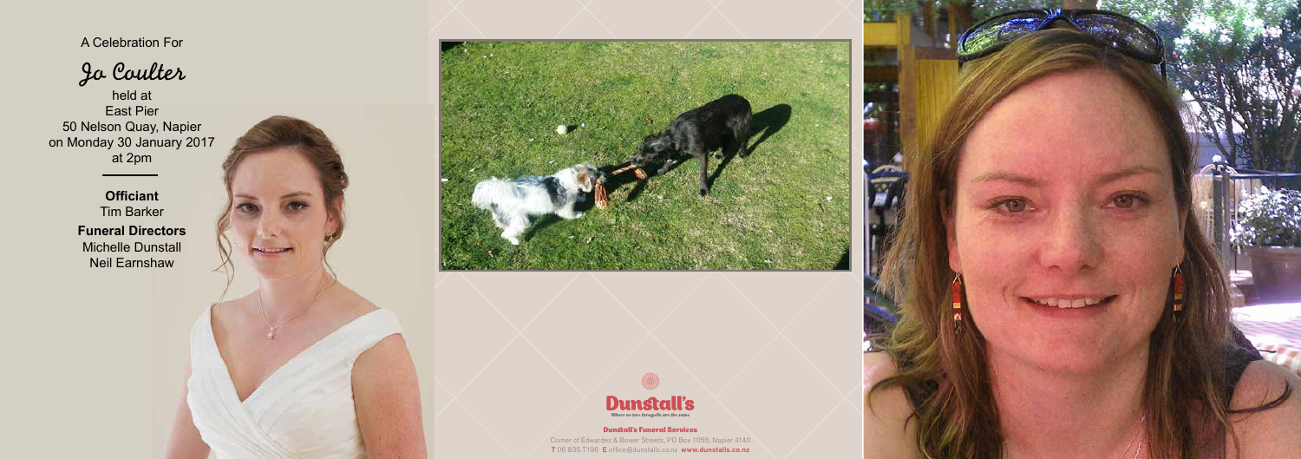## Dunstall's Funeral Services

Corner of Edwardes & Bower Streets, PO Box 1055, Napier 4140 T 06 835 7196 E office@dunstalls.co.nz www.dunstalls.co.nz



A Celebration For

Jo Coulter

held at East Pier 50 Nelson Quay, Napier on Monday 30 January 2017 at 2pm

> **Officiant** Tim Barker **Funeral Directors** Michelle Dunstall Neil Earnshaw